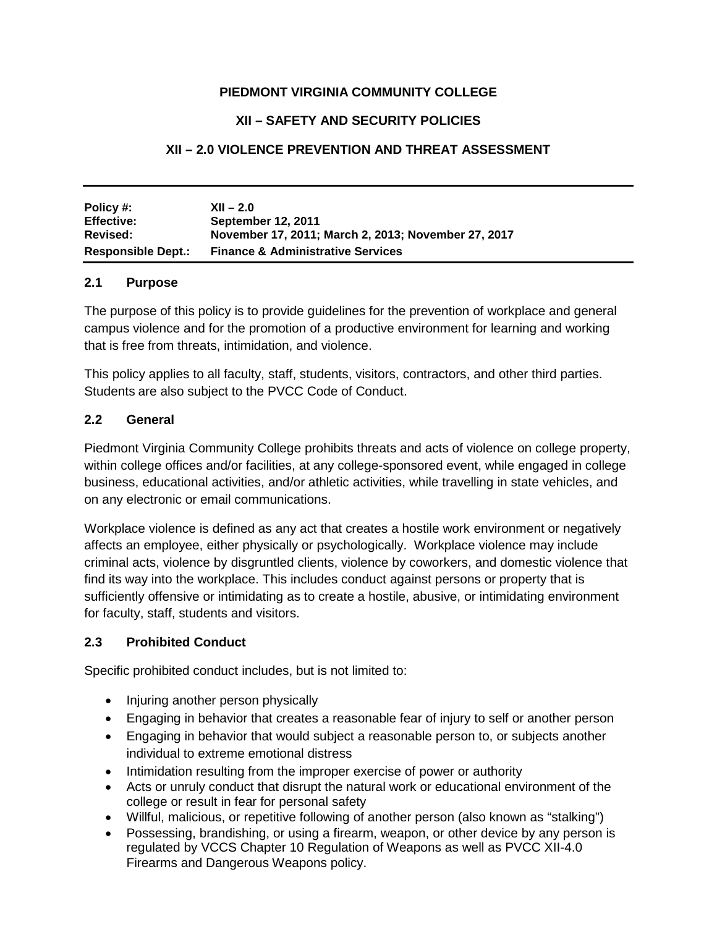#### **PIEDMONT VIRGINIA COMMUNITY COLLEGE**

#### **XII – SAFETY AND SECURITY POLICIES**

### **XII – 2.0 VIOLENCE PREVENTION AND THREAT ASSESSMENT**

| Policy #:<br><b>Effective:</b> | $XII - 2.0$<br><b>September 12, 2011</b>            |
|--------------------------------|-----------------------------------------------------|
| Revised:                       | November 17, 2011; March 2, 2013; November 27, 2017 |
| <b>Responsible Dept.:</b>      | <b>Finance &amp; Administrative Services</b>        |

#### **2.1 Purpose**

The purpose of this policy is to provide guidelines for the prevention of workplace and general campus violence and for the promotion of a productive environment for learning and working that is free from threats, intimidation, and violence.

This policy applies to all faculty, staff, students, visitors, contractors, and other third parties. Students are also subject to the PVCC Code of Conduct.

#### **2.2 General**

Piedmont Virginia Community College prohibits threats and acts of violence on college property, within college offices and/or facilities, at any college-sponsored event, while engaged in college business, educational activities, and/or athletic activities, while travelling in state vehicles, and on any electronic or email communications.

Workplace violence is defined as any act that creates a hostile work environment or negatively affects an employee, either physically or psychologically. Workplace violence may include criminal acts, violence by disgruntled clients, violence by coworkers, and domestic violence that find its way into the workplace. This includes conduct against persons or property that is sufficiently offensive or intimidating as to create a hostile, abusive, or intimidating environment for faculty, staff, students and visitors.

#### **2.3 Prohibited Conduct**

Specific prohibited conduct includes, but is not limited to:

- Injuring another person physically
- Engaging in behavior that creates a reasonable fear of injury to self or another person
- Engaging in behavior that would subject a reasonable person to, or subjects another individual to extreme emotional distress
- Intimidation resulting from the improper exercise of power or authority
- Acts or unruly conduct that disrupt the natural work or educational environment of the college or result in fear for personal safety
- Willful, malicious, or repetitive following of another person (also known as "stalking")
- Possessing, brandishing, or using a firearm, weapon, or other device by any person is regulated by VCCS Chapter 10 Regulation of Weapons as well as PVCC XII-4.0 Firearms and Dangerous Weapons policy.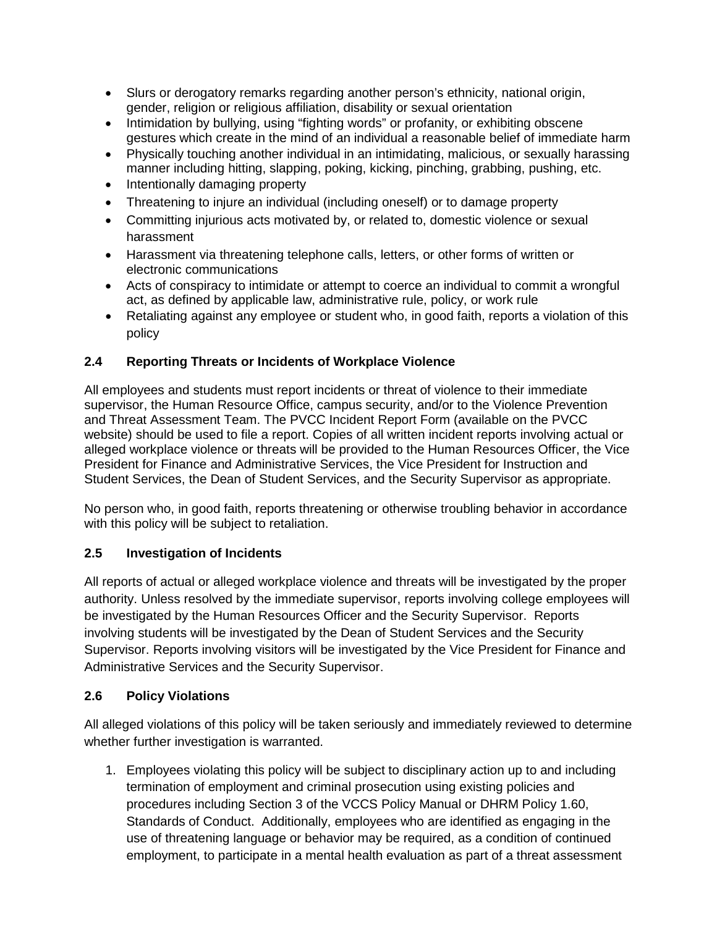- Slurs or derogatory remarks regarding another person's ethnicity, national origin, gender, religion or religious affiliation, disability or sexual orientation
- Intimidation by bullying, using "fighting words" or profanity, or exhibiting obscene gestures which create in the mind of an individual a reasonable belief of immediate harm
- Physically touching another individual in an intimidating, malicious, or sexually harassing manner including hitting, slapping, poking, kicking, pinching, grabbing, pushing, etc.
- Intentionally damaging property
- Threatening to injure an individual (including oneself) or to damage property
- Committing injurious acts motivated by, or related to, domestic violence or sexual harassment
- Harassment via threatening telephone calls, letters, or other forms of written or electronic communications
- Acts of conspiracy to intimidate or attempt to coerce an individual to commit a wrongful act, as defined by applicable law, administrative rule, policy, or work rule
- Retaliating against any employee or student who, in good faith, reports a violation of this policy

# **2.4 Reporting Threats or Incidents of Workplace Violence**

All employees and students must report incidents or threat of violence to their immediate supervisor, the Human Resource Office, campus security, and/or to the Violence Prevention and Threat Assessment Team. The PVCC Incident Report Form (available on the PVCC website) should be used to file a report. Copies of all written incident reports involving actual or alleged workplace violence or threats will be provided to the Human Resources Officer, the Vice President for Finance and Administrative Services, the Vice President for Instruction and Student Services, the Dean of Student Services, and the Security Supervisor as appropriate.

No person who, in good faith, reports threatening or otherwise troubling behavior in accordance with this policy will be subject to retaliation.

# **2.5 Investigation of Incidents**

All reports of actual or alleged workplace violence and threats will be investigated by the proper authority. Unless resolved by the immediate supervisor, reports involving college employees will be investigated by the Human Resources Officer and the Security Supervisor. Reports involving students will be investigated by the Dean of Student Services and the Security Supervisor. Reports involving visitors will be investigated by the Vice President for Finance and Administrative Services and the Security Supervisor.

# **2.6 Policy Violations**

All alleged violations of this policy will be taken seriously and immediately reviewed to determine whether further investigation is warranted.

1. Employees violating this policy will be subject to disciplinary action up to and including termination of employment and criminal prosecution using existing policies and procedures including Section 3 of the VCCS Policy Manual or DHRM Policy 1.60, Standards of Conduct. Additionally, employees who are identified as engaging in the use of threatening language or behavior may be required, as a condition of continued employment, to participate in a mental health evaluation as part of a threat assessment